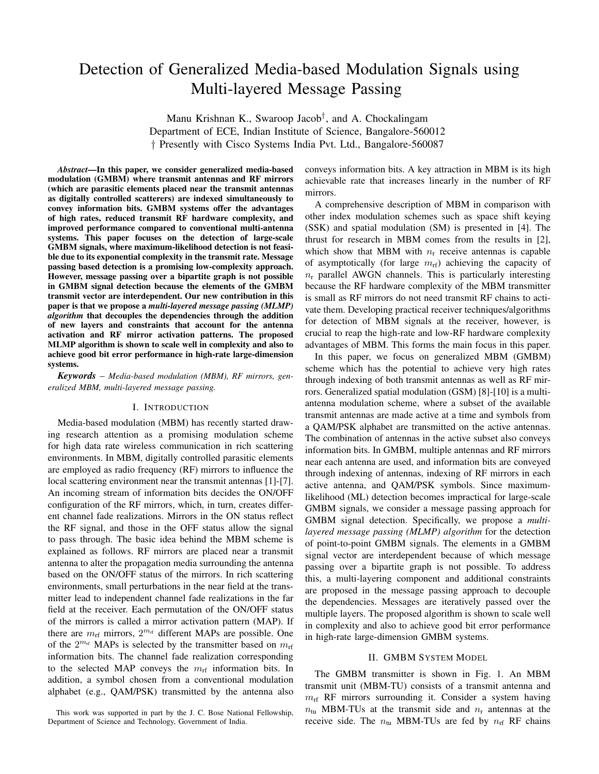# Detection of Generalized Media-based Modulation Signals using Multi-layered Message Passing

Manu Krishnan K., Swaroop Jacob<sup>†</sup>, and A. Chockalingam Department of ECE, Indian Institute of Science, Bangalore-560012 † Presently with Cisco Systems India Pvt. Ltd., Bangalore-560087

*Abstract*—In this paper, we consider generalized media-based modulation (GMBM) where transmit antennas and RF mirrors (which are parasitic elements placed near the transmit antennas as digitally controlled scatterers) are indexed simultaneously to convey information bits. GMBM systems offer the advantages of high rates, reduced transmit RF hardware complexity, and improved performance compared to conventional multi-antenna systems. This paper focuses on the detection of large-scale GMBM signals, where maximum-likelihood detection is not feasible due to its exponential complexity in the transmit rate. Message passing based detection is a promising low-complexity approach. However, message passing over a bipartite graph is not possible in GMBM signal detection because the elements of the GMBM transmit vector are interdependent. Our new contribution in this paper is that we propose a *multi-layered message passing (MLMP) algorithm* that decouples the dependencies through the addition of new layers and constraints that account for the antenna activation and RF mirror activation patterns. The proposed MLMP algorithm is shown to scale well in complexity and also to achieve good bit error performance in high-rate large-dimension systems.

*Keywords* – *Media-based modulation (MBM), RF mirrors, generalized MBM, multi-layered message passing.*

### I. INTRODUCTION

Media-based modulation (MBM) has recently started drawing research attention as a promising modulation scheme for high data rate wireless communication in rich scattering environments. In MBM, digitally controlled parasitic elements are employed as radio frequency (RF) mirrors to influence the local scattering environment near the transmit antennas [1]-[7]. An incoming stream of information bits decides the ON/OFF configuration of the RF mirrors, which, in turn, creates different channel fade realizations. Mirrors in the ON status reflect the RF signal, and those in the OFF status allow the signal to pass through. The basic idea behind the MBM scheme is explained as follows. RF mirrors are placed near a transmit antenna to alter the propagation media surrounding the antenna based on the ON/OFF status of the mirrors. In rich scattering environments, small perturbations in the near field at the transmitter lead to independent channel fade realizations in the far field at the receiver. Each permutation of the ON/OFF status of the mirrors is called a mirror activation pattern (MAP). If there are  $m_{\text{rf}}$  mirrors,  $2^{m_{\text{rf}}}$  different MAPs are possible. One of the  $2^{m_{\text{rf}}}$  MAPs is selected by the transmitter based on  $m_{\text{rf}}$ information bits. The channel fade realization corresponding to the selected MAP conveys the  $m_{\text{rf}}$  information bits. In addition, a symbol chosen from a conventional modulation alphabet (e.g., QAM/PSK) transmitted by the antenna also conveys information bits. A key attraction in MBM is its high achievable rate that increases linearly in the number of RF mirrors.

A comprehensive description of MBM in comparison with other index modulation schemes such as space shift keying (SSK) and spatial modulation (SM) is presented in [4]. The thrust for research in MBM comes from the results in [2], which show that MBM with  $n_r$  receive antennas is capable of asymptotically (for large  $m_{\text{rf}}$ ) achieving the capacity of  $n_r$  parallel AWGN channels. This is particularly interesting because the RF hardware complexity of the MBM transmitter is small as RF mirrors do not need transmit RF chains to activate them. Developing practical receiver techniques/algorithms for detection of MBM signals at the receiver, however, is crucial to reap the high-rate and low-RF hardware complexity advantages of MBM. This forms the main focus in this paper.

In this paper, we focus on generalized MBM (GMBM) scheme which has the potential to achieve very high rates through indexing of both transmit antennas as well as RF mirrors. Generalized spatial modulation (GSM) [8]-[10] is a multiantenna modulation scheme, where a subset of the available transmit antennas are made active at a time and symbols from a QAM/PSK alphabet are transmitted on the active antennas. The combination of antennas in the active subset also conveys information bits. In GMBM, multiple antennas and RF mirrors near each antenna are used, and information bits are conveyed through indexing of antennas, indexing of RF mirrors in each active antenna, and QAM/PSK symbols. Since maximumlikelihood (ML) detection becomes impractical for large-scale GMBM signals, we consider a message passing approach for GMBM signal detection. Specifically, we propose a *multilayered message passing (MLMP) algorithm* for the detection of point-to-point GMBM signals. The elements in a GMBM signal vector are interdependent because of which message passing over a bipartite graph is not possible. To address this, a multi-layering component and additional constraints are proposed in the message passing approach to decouple the dependencies. Messages are iteratively passed over the multiple layers. The proposed algorithm is shown to scale well in complexity and also to achieve good bit error performance in high-rate large-dimension GMBM systems.

#### II. GMBM SYSTEM MODEL

The GMBM transmitter is shown in Fig. 1. An MBM transmit unit (MBM-TU) consists of a transmit antenna and  $m_{\text{rf}}$  RF mirrors surrounding it. Consider a system having  $n_{\text{tu}}$  MBM-TUs at the transmit side and  $n_{\text{r}}$  antennas at the receive side. The  $n_{\text{tu}}$  MBM-TUs are fed by  $n_{\text{rf}}$  RF chains

This work was supported in part by the J. C. Bose National Fellowship, Department of Science and Technology, Government of India.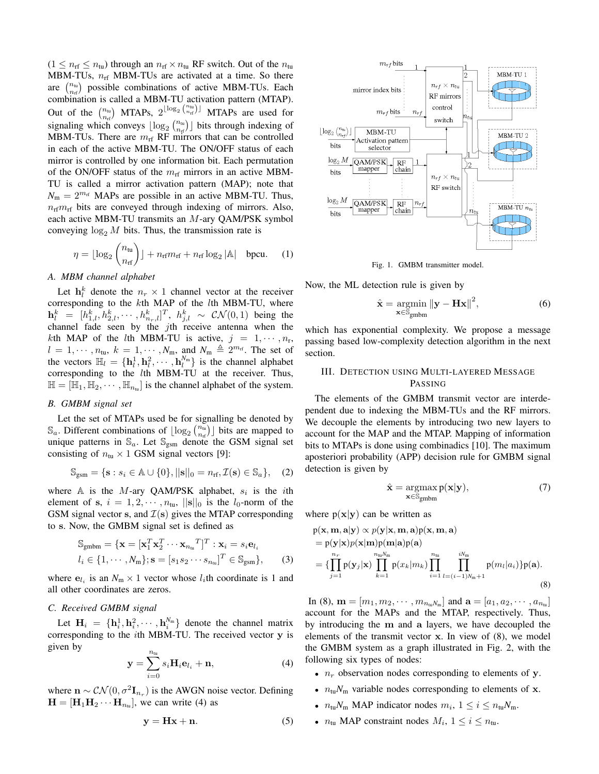$(1 \le n_{\rm rf} \le n_{\rm tu})$  through an  $n_{\rm rf} \times n_{\rm tu}$  RF switch. Out of the  $n_{\rm tu}$ MBM-TUs,  $n_{\text{rf}}$  MBM-TUs are activated at a time. So there are  $\binom{n_{\text{tu}}}{n_{\text{rf}}}$  possible combinations of active MBM-TUs. Each combination is called a MBM-TU activation pattern (MTAP). Out of the  $\binom{n_{\rm{u}}}{n_{\rm{rf}}}$  MTAPs,  $2^{\lfloor \log_2 \binom{n_{\rm{u}}}{n_{\rm{rf}}} \rfloor}$  MTAPs are used for signaling which conveys  $\lfloor \log_2 {n_w \choose n_{\rm rf}} \rfloor$  bits through indexing of MBM-TUs. There are  $m_{\text{rf}}$  RF mirrors that can be controlled in each of the active MBM-TU. The ON/OFF status of each mirror is controlled by one information bit. Each permutation of the ON/OFF status of the  $m_{\text{rf}}$  mirrors in an active MBM-TU is called a mirror activation pattern (MAP); note that  $N_{\rm m} = 2^{m_{\rm rf}}$  MAPs are possible in an active MBM-TU. Thus,  $n_{\rm rf}m_{\rm rf}$  bits are conveyed through indexing of mirrors. Also, each active MBM-TU transmits an M-ary QAM/PSK symbol conveying  $\log_2 M$  bits. Thus, the transmission rate is

$$
\eta = \lfloor \log_2 \binom{n_{\rm tu}}{n_{\rm rf}} \rfloor + n_{\rm rf} m_{\rm rf} + n_{\rm rf} \log_2 |A| \quad \text{bpcu.} \tag{1}
$$

#### *A. MBM channel alphabet*

Let  $\mathbf{h}_l^k$  denote the  $n_r \times 1$  channel vector at the receiver corresponding to the  $k$ th MAP of the  $l$ th MBM-TU, where  $\mathbf{h}_l^k = [h_{1,l}^k, h_{2,l}^k, \cdots, h_{n_r,l}^k]^T$ ,  $h_{j,l}^k \sim \mathcal{CN}(0,1)$  being the channel fade seen by the  $j$ th receive antenna when the kth MAP of the *l*th MBM-TU is active,  $j = 1, \dots, n_r$ ,  $l = 1, \dots, n_{\text{tu}}, k = 1, \dots, N_{\text{m}}$ , and  $N_{\text{m}} \triangleq 2^{m_{\text{rf}}}$ . The set of the vectors  $\mathbb{H}_l = {\{\mathbf{h}_l^1, \mathbf{h}_l^2, \cdots, \mathbf{h}_l^{N_m}\}}$  is the channel alphabet corresponding to the lth MBM-TU at the receiver. Thus,  $\mathbb{H} = [\mathbb{H}_1, \mathbb{H}_2, \cdots, \mathbb{H}_{n_{\text{tu}}}]$  is the channel alphabet of the system.

## *B. GMBM signal set*

Let the set of MTAPs used be for signalling be denoted by  $\mathbb{S}_a$ . Different combinations of  $\lfloor \log_2 \binom{n_{\text{tu}}}{n_{\text{rt}}} \rfloor$  bits are mapped to unique patterns in  $\mathbb{S}_a$ . Let  $\mathbb{S}_{\text{gsm}}$  denote the GSM signal set consisting of  $n_{\text{tu}} \times 1$  GSM signal vectors [9]:

$$
\mathbb{S}_{\text{gsm}} = \{ \mathbf{s} : s_i \in \mathbb{A} \cup \{0\}, ||\mathbf{s}||_0 = n_{\text{rf}}, \mathcal{I}(\mathbf{s}) \in \mathbb{S}_a \}, \quad (2)
$$

where  $A$  is the M-ary QAM/PSK alphabet,  $s_i$  is the *i*th element of s,  $i = 1, 2, \dots, n_{\text{tu}}$ ,  $||\mathbf{s}||_0$  is the  $l_0$ -norm of the GSM signal vector s, and  $\mathcal{I}(s)$  gives the MTAP corresponding to s. Now, the GMBM signal set is defined as

$$
\mathbb{S}_{\text{gmbm}} = \{ \mathbf{x} = [\mathbf{x}_1^T \mathbf{x}_2^T \cdots \mathbf{x}_{n_{\text{tu}}}^T]^T : \mathbf{x}_i = s_i \mathbf{e}_{l_i}
$$
  

$$
l_i \in \{1, \cdots, N_{\text{m}}\}; \mathbf{s} = [s_1 s_2 \cdots s_{n_{\text{tu}}}]^T \in \mathbb{S}_{\text{gsm}}\},\qquad(3)
$$

where  $\mathbf{e}_{l_i}$  is an  $N_m \times 1$  vector whose  $l_i$ th coordinate is 1 and all other coordinates are zeros.

## *C. Received GMBM signal*

Let  $\mathbf{H}_i = \{\mathbf{h}_i^1, \mathbf{h}_i^2, \cdots, \mathbf{h}_i^{N_{\text{m}}}\}\$  denote the channel matrix corresponding to the ith MBM-TU. The received vector y is given by

$$
\mathbf{y} = \sum_{i=0}^{n_{\text{tu}}} s_i \mathbf{H}_i \mathbf{e}_{l_i} + \mathbf{n}, \tag{4}
$$

where  $\mathbf{n} \sim \mathcal{CN}(0, \sigma^2 \mathbf{I}_{n_r})$  is the AWGN noise vector. Defining  $H = [H_1H_2 \cdots H_{n_{\text{tu}}}]$ , we can write (4) as

$$
y = Hx + n.\t\t(5)
$$



Fig. 1. GMBM transmitter model.

Now, the ML detection rule is given by

$$
\hat{\mathbf{x}} = \underset{\mathbf{x} \in \mathbb{S}_{\text{gmbm}}}{\operatorname{argmin}} \|\mathbf{y} - \mathbf{H}\mathbf{x}\|^2, \tag{6}
$$

which has exponential complexity. We propose a message passing based low-complexity detection algorithm in the next section.

## III. DETECTION USING MULTI-LAYERED MESSAGE PASSING

The elements of the GMBM transmit vector are interdependent due to indexing the MBM-TUs and the RF mirrors. We decouple the elements by introducing two new layers to account for the MAP and the MTAP. Mapping of information bits to MTAPs is done using combinadics [10]. The maximum aposteriori probability (APP) decision rule for GMBM signal detection is given by

$$
\hat{\mathbf{x}} = \underset{\mathbf{x} \in \mathbb{S}_{\text{gmbm}}}{\operatorname{argmax}} p(\mathbf{x}|\mathbf{y}),\tag{7}
$$

where  $p(x|y)$  can be written as

$$
p(\mathbf{x}, \mathbf{m}, \mathbf{a} | \mathbf{y}) \propto p(\mathbf{y} | \mathbf{x}, \mathbf{m}, \mathbf{a}) p(\mathbf{x}, \mathbf{m}, \mathbf{a})
$$
  
\n
$$
= p(\mathbf{y} | \mathbf{x}) p(\mathbf{x} | \mathbf{m}) p(\mathbf{m} | \mathbf{a}) p(\mathbf{a})
$$
  
\n
$$
= \{\prod_{j=1}^{n_r} p(\mathbf{y}_j | \mathbf{x}) \prod_{k=1}^{n_{\text{tu}} N_m} p(x_k | m_k) \prod_{i=1}^{n_{\text{tu}}} \prod_{l=(i-1)N_m+1}^{iN_m} p(m_l | a_i) \} p(\mathbf{a}).
$$
\n(8)

In (8),  $\mathbf{m} = [m_1, m_2, \cdots, m_{n_{\text{tu}}N_{\text{m}}}]$  and  $\mathbf{a} = [a_1, a_2, \cdots, a_{n_{\text{tu}}}]$ account for the MAPs and the MTAP, respectively. Thus, by introducing the m and a layers, we have decoupled the elements of the transmit vector x. In view of (8), we model the GMBM system as a graph illustrated in Fig. 2, with the following six types of nodes:

- $n_r$  observation nodes corresponding to elements of y.
- $n_{\text{tu}}N_{\text{m}}$  variable nodes corresponding to elements of x.
- $n_{\text{tu}}N_{\text{m}}$  MAP indicator nodes  $m_i$ ,  $1 \le i \le n_{\text{tu}}N_{\text{m}}$ .
- $n_{\text{tu}}$  MAP constraint nodes  $M_i$ ,  $1 \le i \le n_{\text{tu}}$ .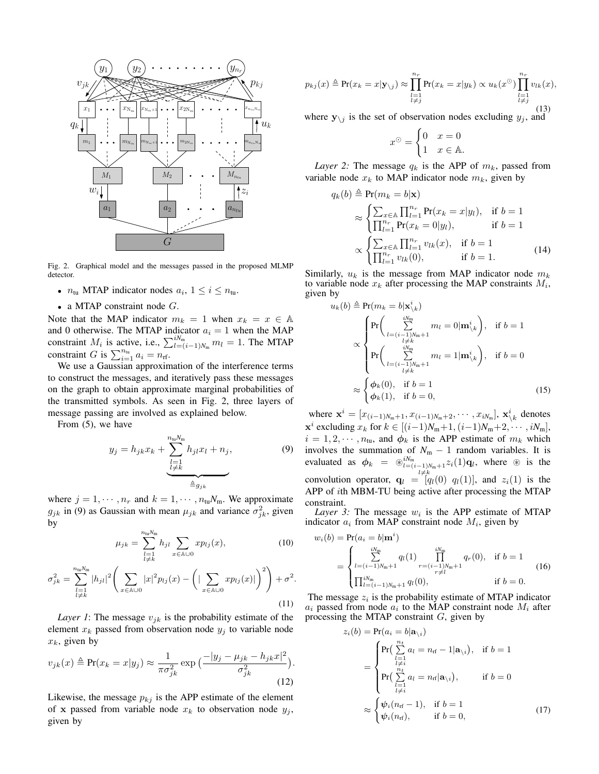

Fig. 2. Graphical model and the messages passed in the proposed MLMP detector.

- $n_{\text{tu}}$  MTAP indicator nodes  $a_i$ ,  $1 \le i \le n_{\text{tu}}$ .
- a MTAP constraint node  $G$ .

Note that the MAP indicator  $m_k = 1$  when  $x_k = x \in A$ and 0 otherwise. The MTAP indicator  $a_i = 1$  when the MAP constraint  $M_i$  is active, i.e.,  $\sum_{l=(i-1)N_m}^{iN_m} m_l = 1$ . The MTAP constraint G is  $\sum_{i=1}^{n_{\text{tu}}} a_i = n_{\text{rf}}$ .

We use a Gaussian approximation of the interference terms to construct the messages, and iteratively pass these messages on the graph to obtain approximate marginal probabilities of the transmitted symbols. As seen in Fig. 2, three layers of message passing are involved as explained below.

From (5), we have

$$
y_j = h_{jk}x_k + \underbrace{\sum_{\substack{l=1 \ l \neq k}}^{n_{\text{tu}}N_{\text{m}}}} h_{jl}x_l + n_j,
$$
\n
$$
(9)
$$

where  $j = 1, \dots, n_r$  and  $k = 1, \dots, n_{tu}N_m$ . We approximate  $g_{jk}$  in (9) as Gaussian with mean  $\mu_{jk}$  and variance  $\sigma_{jk}^2$ , given by

$$
\mu_{jk} = \sum_{\substack{l=1\\l \neq k}}^{n_{\text{tu}} N_{\text{m}}} h_{jl} \sum_{x \in \mathbb{A} \cup 0} x p_{lj}(x), \tag{10}
$$

.

$$
\sigma_{jk}^2 = \sum_{\substack{l=1\\l \neq k}}^{n_{\text{tu}} N_{\text{m}}} |h_{jl}|^2 \left( \sum_{x \in \text{Alo}} |x|^2 p_{lj}(x) - \left( |\sum_{x \in \text{Alo}} x p_{lj}(x)| \right)^2 \right) + \sigma^2.
$$
\n(11)

*Layer 1*: The message  $v_{jk}$  is the probability estimate of the element  $x_k$  passed from observation node  $y_j$  to variable node  $x_k$ , given by

$$
v_{jk}(x) \triangleq \Pr(x_k = x | y_j) \approx \frac{1}{\pi \sigma_{jk}^2} \exp\left(\frac{-|y_j - \mu_{jk} - h_{jk}x|^2}{\sigma_{jk}^2}\right)
$$
\n(12)

Likewise, the message  $p_{kj}$  is the APP estimate of the element of x passed from variable node  $x_k$  to observation node  $y_j$ , given by

$$
p_{kj}(x) \triangleq \Pr(x_k = x | \mathbf{y}_{\setminus j}) \approx \prod_{\substack{l=1 \\ l \neq j}}^{n_r} \Pr(x_k = x | y_k) \propto u_k(x^{\odot}) \prod_{\substack{l=1 \\ l \neq j}}^{n_r} v_{lk}(x),
$$

where  $\mathbf{y}_{\setminus j}$  is the set of observation nodes excluding  $y_j$ , and

$$
x^{\odot} = \begin{cases} 0 & x = 0 \\ 1 & x \in \mathbb{A}. \end{cases}
$$

*Layer 2:* The message  $q_k$  is the APP of  $m_k$ , passed from variable node  $x_k$  to MAP indicator node  $m_k$ , given by

$$
q_k(b) \triangleq Pr(m_k = b|\mathbf{x})
$$
  
\n
$$
\approx \begin{cases} \sum_{x \in \mathbb{A}} \prod_{l=1}^{n_r} Pr(x_k = x|y_l), & \text{if } b = 1\\ \prod_{l=1}^{n_r} Pr(x_k = 0|y_l), & \text{if } b = 1 \end{cases}
$$
  
\n
$$
\propto \begin{cases} \sum_{x \in \mathbb{A}} \prod_{l=1}^{n_r} v_{lk}(x), & \text{if } b = 1\\ \prod_{l=1}^{n_r} v_{lk}(0), & \text{if } b = 1. \end{cases}
$$
(14)

Similarly,  $u_k$  is the message from MAP indicator node  $m_k$ to variable node  $x_k$  after processing the MAP constraints  $M_i$ , given by

$$
u_k(b) \triangleq \Pr(m_k = b | \mathbf{x}_{\setminus k}^i)
$$
  
\n
$$
\propto \begin{cases}\n\Pr\left(\sum_{\substack{l=(i-1)N_{\rm m}+1 \\ l\neq k}}^i m_l = 0 | \mathbf{m}_{\setminus k}^i\right), & \text{if } b=1 \\
\Pr\left(\sum_{\substack{l=(i-1)N_{\rm m}+1 \\ l\neq k}}^i m_l = 1 | \mathbf{m}_{\setminus k}^i\right), & \text{if } b=0 \\
\approx \begin{cases}\n\phi_k(0), & \text{if } b=1 \\
\phi_k(1), & \text{if } b=0,\n\end{cases}\n\end{cases}
$$
\n(15)

where  $\mathbf{x}^i = [x_{(i-1)N_m+1}, x_{(i-1)N_m+2}, \cdots, x_{iN_m}], \mathbf{x}_{\setminus k}^i$  denotes  $\mathbf{x}^i$  excluding  $x_k$  for  $k \in [(i-1)N_m+1, (i-1)N_m+2, \cdots, iN_m]$ ,  $i = 1, 2, \dots, n_{\text{tu}}$ , and  $\phi_k$  is the APP estimate of  $m_k$  which involves the summation of  $N_m - 1$  random variables. It is evaluated as  $\phi_k = \bigcircledast_{\substack{l=(i-1)N_{\text{m}}-1 \ l \neq k}}^{iN_{\text{m}}} z_i(1) \mathbf{q}_l$ , where  $\circledast$  is the convolution operator,  $\mathbf{q}_l = [q_l(0) \ q_l(1)]$ , and  $z_i(1)$  is the APP of ith MBM-TU being active after processing the MTAP constraint.

*Layer 3:* The message  $w_i$  is the APP estimate of MTAP indicator  $a_i$  from MAP constraint node  $M_i$ , given by

$$
w_i(b) = \Pr(a_i = b | \mathbf{m}^i)
$$
  
= 
$$
\begin{cases} \sum_{l = (i-1)N_m+1}^{iN_m} q_l(1) \prod_{\substack{r = (i-1)N_m+1\\r \neq l}}^{iN_m} q_r(0), & \text{if } b = 1\\ \prod_{l = (i-1)N_m+1}^{iN_m} q_l(0), & \text{if } b = 0. \end{cases}
$$
(16)

The message  $z_i$  is the probability estimate of MTAP indicator  $a_i$  passed from node  $a_i$  to the MAP constraint node  $M_i$  after processing the MTAP constraint  $G$ , given by

$$
z_i(b) = \Pr(a_i = b | \mathbf{a}_{\setminus i})
$$
  
\n
$$
= \begin{cases}\n\Pr\left(\sum_{l=1}^{n_t} a_l = n_{\text{rf}} - 1 | \mathbf{a}_{\setminus i}\right), & \text{if } b = 1 \\
\Pr\left(\sum_{l=1}^{n_t} a_l = n_{\text{rf}} | \mathbf{a}_{\setminus i}\right), & \text{if } b = 0 \\
\Pr\left(\sum_{l=1}^{n_t} a_l = n_{\text{rf}} | \mathbf{a}_{\setminus i}\right), & \text{if } b = 0\n\end{cases}
$$
  
\n
$$
\approx \begin{cases}\n\psi_i(n_{\text{rf}} - 1), & \text{if } b = 1 \\
\psi_i(n_{\text{rf}}), & \text{if } b = 0,\n\end{cases}
$$
\n(17)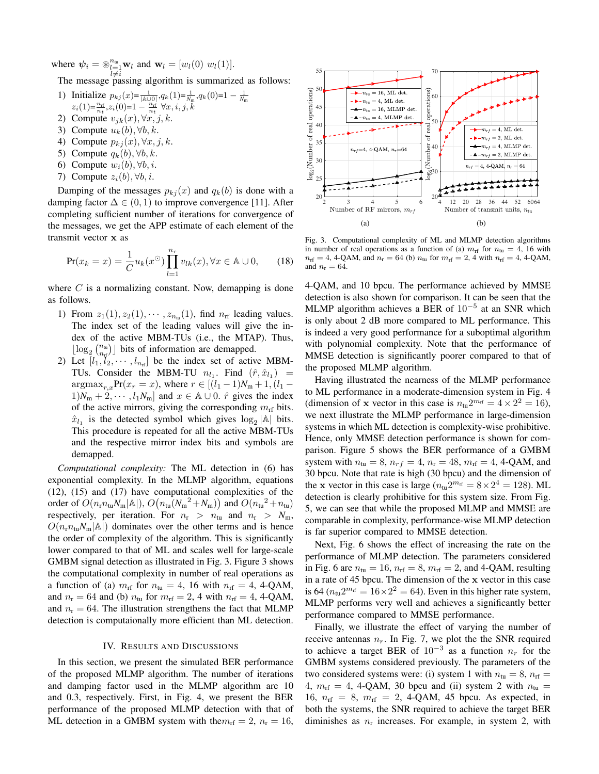where  $\psi_i = \bigcircledast_{\substack{l=1 \ l \neq i}}^{\frac{n_{\text{tu}}}{n_{\text{tu}}}} \mathbf{w}_l$  and  $\mathbf{w}_l = [w_l(0) \ w_l(1)].$ 

The message passing algorithm is summarized as follows:

- 1) Initialize  $p_{kj}(x) = \frac{1}{|\mathbb{A} \cup \mathbb{O}|}, q_k(1) = \frac{1}{N_m}, q_k(0) = 1 \frac{1}{N_m}$  $z_i(1) = \frac{n_{\text{rf}}}{n_t}, z_i(0) = 1 - \frac{n_{\text{rf}}}{n_t} \,\forall x, i, j, k$
- 2) Compute  $v_{jk}(x)$ ,  $\forall x, j, k$ .
- 3) Compute  $u_k(b)$ ,  $\forall b, k$ .
- 4) Compute  $p_{kj}(x)$ ,  $\forall x, j, k$ .
- 5) Compute  $q_k(b)$ ,  $\forall b, k$ .
- 6) Compute  $w_i(b)$ ,  $\forall b, i$ .
- 7) Compute  $z_i(b)$ ,  $\forall b, i$ .

Damping of the messages  $p_{kj}(x)$  and  $q_k(b)$  is done with a damping factor  $\Delta \in (0,1)$  to improve convergence [11]. After completing sufficient number of iterations for convergence of the messages, we get the APP estimate of each element of the transmit vector x as

$$
\Pr(x_k = x) = \frac{1}{C} u_k(x^{\odot}) \prod_{l=1}^{n_r} v_{lk}(x), \forall x \in \mathbb{A} \cup 0,
$$
 (18)

where  $C$  is a normalizing constant. Now, demapping is done as follows.

- 1) From  $z_1(1), z_2(1), \cdots, z_{n_{\text{tu}}}(1)$ , find  $n_{\text{rf}}$  leading values. The index set of the leading values will give the index of the active MBM-TUs (i.e., the MTAP). Thus,  $\lfloor \log_2 \binom{n_{\text{tu}}}{n_{\text{rf}}} \rfloor$  bits of information are demapped.
- 2) Let  $[l_1, l_2, \cdots, l_{n_{\text{rf}}}]$  be the index set of active MBM-TUs. Consider the MBM-TU  $n_{l_1}$ . Find  $(\hat{r}, \hat{x}_{l_1})$  =  $\arg \max_{x,x} \Pr(x_r = x)$ , where  $r \in [(l_1 - 1)N_m + 1, (l_1 1)N_m + 2, \cdots, l_1N_m$  and  $x \in \mathbb{A} \cup 0$ .  $\hat{r}$  gives the index of the active mirrors, giving the corresponding  $m_{\text{rf}}$  bits.  $\hat{x}_{l_1}$  is the detected symbol which gives  $\log_2|\mathbb{A}|$  bits. This procedure is repeated for all the active MBM-TUs and the respective mirror index bits and symbols are demapped.

*Computational complexity:* The ML detection in (6) has exponential complexity. In the MLMP algorithm, equations (12), (15) and (17) have computational complexities of the order of  $O(n_r n_{tu} N_m |A|)$ ,  $O(n_{tu}(N_m^2 + N_m))$  and  $O(n_{tu}^2 + n_{tu})$ respectively, per iteration. For  $n_r > n_{tu}$  and  $n_r > N_m$ ,  $O(n_r n_{tu}N_m|\mathbb{A}|)$  dominates over the other terms and is hence the order of complexity of the algorithm. This is significantly lower compared to that of ML and scales well for large-scale GMBM signal detection as illustrated in Fig. 3. Figure 3 shows the computational complexity in number of real operations as a function of (a)  $m_{\text{rf}}$  for  $n_{\text{tu}} = 4$ , 16 with  $n_{\text{rf}} = 4$ , 4-QAM, and  $n_r = 64$  and (b)  $n_{tu}$  for  $m_{rf} = 2$ , 4 with  $n_{rf} = 4$ , 4-QAM, and  $n_r = 64$ . The illustration strengthens the fact that MLMP detection is computaionally more efficient than ML detection.

### IV. RESULTS AND DISCUSSIONS

In this section, we present the simulated BER performance of the proposed MLMP algorithm. The number of iterations and damping factor used in the MLMP algorithm are 10 and 0.3, respectively. First, in Fig. 4, we present the BER performance of the proposed MLMP detection with that of ML detection in a GMBM system with the $m_{\text{rf}} = 2$ ,  $n_{\text{r}} = 16$ ,



Fig. 3. Computational complexity of ML and MLMP detection algorithms in number of real operations as a function of (a)  $m_{\text{rf}}$  for  $n_{\text{tu}} = 4$ , 16 with  $n_{\text{rf}} = 4$ , 4-QAM, and  $n_{\text{r}} = 64$  (b)  $n_{\text{tu}}$  for  $m_{\text{rf}} = 2$ , 4 with  $n_{\text{rf}} = 4$ , 4-QAM, and  $n_r = 64$ .

4-QAM, and 10 bpcu. The performance achieved by MMSE detection is also shown for comparison. It can be seen that the MLMP algorithm achieves a BER of  $10^{-5}$  at an SNR which is only about 2 dB more compared to ML performance. This is indeed a very good performance for a suboptimal algorithm with polynomial complexity. Note that the performance of MMSE detection is significantly poorer compared to that of the proposed MLMP algorithm.

Having illustrated the nearness of the MLMP performance to ML performance in a moderate-dimension system in Fig. 4 (dimension of x vector in this case is  $n_{\text{tu}}2^{m_{\text{rf}}} = 4 \times 2^2 = 16$ ), we next illustrate the MLMP performance in large-dimension systems in which ML detection is complexity-wise prohibitive. Hence, only MMSE detection performance is shown for comparison. Figure 5 shows the BER performance of a GMBM system with  $n_{\text{tu}} = 8$ ,  $n_{rf} = 4$ ,  $n_{\text{r}} = 48$ ,  $m_{\text{rf}} = 4$ , 4-QAM, and 30 bpcu. Note that rate is high (30 bpcu) and the dimension of the x vector in this case is large ( $n_{\text{tu}}2^{m_{\text{rf}}} = 8 \times 2^4 = 128$ ). ML detection is clearly prohibitive for this system size. From Fig. 5, we can see that while the proposed MLMP and MMSE are comparable in complexity, performance-wise MLMP detection is far superior compared to MMSE detection.

Next, Fig. 6 shows the effect of increasing the rate on the performance of MLMP detection. The parameters considered in Fig. 6 are  $n_{\text{tu}} = 16$ ,  $n_{\text{rf}} = 8$ ,  $m_{\text{rf}} = 2$ , and 4-QAM, resulting in a rate of 45 bpcu. The dimension of the x vector in this case is 64 ( $n_{\text{tu}}2^{m_{\text{rf}}} = 16 \times 2^2 = 64$ ). Even in this higher rate system, MLMP performs very well and achieves a significantly better performance compared to MMSE performance.

Finally, we illustrate the effect of varying the number of receive antennas  $n_r$ . In Fig. 7, we plot the the SNR required to achieve a target BER of  $10^{-3}$  as a function  $n_r$  for the GMBM systems considered previously. The parameters of the two considered systems were: (i) system 1 with  $n_{\text{tu}} = 8$ ,  $n_{\text{rf}} =$ 4,  $m_{\text{rf}} = 4$ , 4-QAM, 30 bpcu and (ii) system 2 with  $n_{\text{tu}} =$ 16,  $n_{\text{rf}} = 8$ ,  $m_{\text{rf}} = 2$ , 4-QAM, 45 bpcu. As expected, in both the systems, the SNR required to achieve the target BER diminishes as  $n_r$  increases. For example, in system 2, with